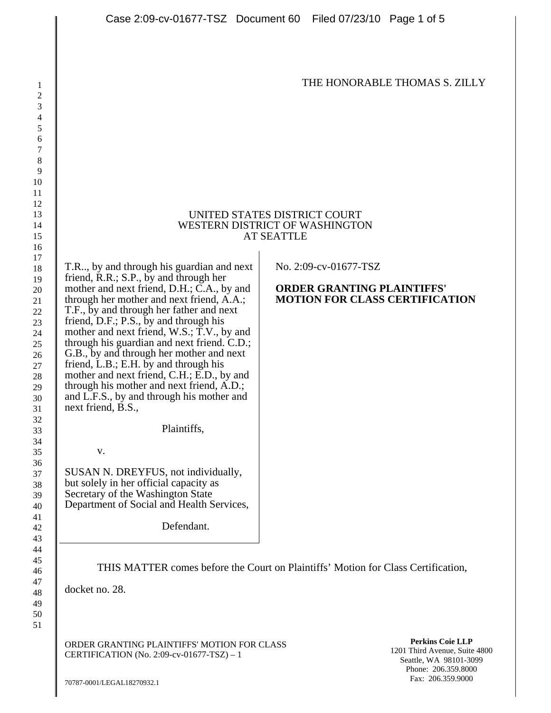## THE HONORABLE THOMAS S. ZILLY

## UNITED STATES DISTRICT COURT WESTERN DISTRICT OF WASHINGTON AT SEATTLE

T.R.., by and through his guardian and next friend, R.R.; S.P., by and through her mother and next friend, D.H.; C.A., by and through her mother and next friend, A.A.; T.F., by and through her father and next friend, D.F.; P.S., by and through his mother and next friend, W.S.; T.V., by and through his guardian and next friend. C.D.; G.B., by and through her mother and next friend, L.B.; E.H. by and through his mother and next friend, C.H.; E.D., by and through his mother and next friend, A.D.; and L.F.S., by and through his mother and next friend, B.S.,

Plaintiffs,

v.

SUSAN N. DREYFUS, not individually, but solely in her official capacity as Secretary of the Washington State Department of Social and Health Services,

Defendant.

No. 2:09-cv-01677-TSZ

## **ORDER GRANTING PLAINTIFFS' MOTION FOR CLASS CERTIFICATION**

THIS MATTER comes before the Court on Plaintiffs' Motion for Class Certification,

docket no. 28.

ORDER GRANTING PLAINTIFFS' MOTION FOR CLASS CERTIFICATION (No. 2:09-cv-01677-TSZ) – 1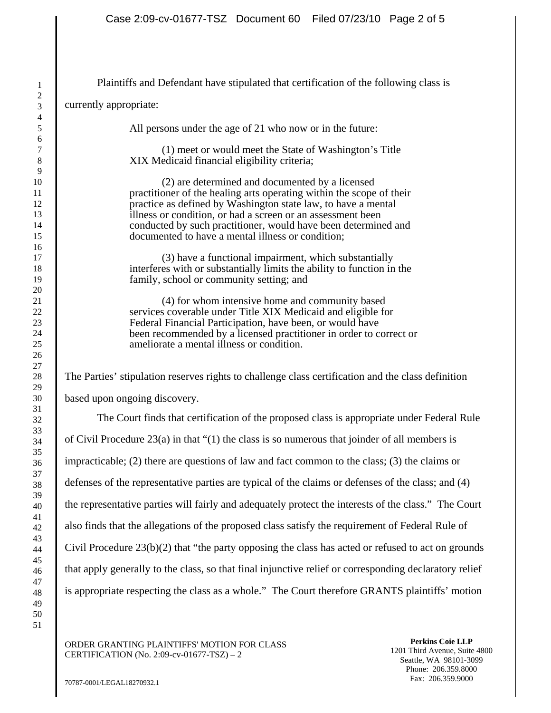Plaintiffs and Defendant have stipulated that certification of the following class is currently appropriate: All persons under the age of 21 who now or in the future: (1) meet or would meet the State of Washington's Title XIX Medicaid financial eligibility criteria; (2) are determined and documented by a licensed practitioner of the healing arts operating within the scope of their practice as defined by Washington state law, to have a mental illness or condition, or had a screen or an assessment been conducted by such practitioner, would have been determined and documented to have a mental illness or condition; (3) have a functional impairment, which substantially interferes with or substantially limits the ability to function in the family, school or community setting; and (4) for whom intensive home and community based services coverable under Title XIX Medicaid and eligible for Federal Financial Participation, have been, or would have been recommended by a licensed practitioner in order to correct or ameliorate a mental illness or condition. The Parties' stipulation reserves rights to challenge class certification and the class definition based upon ongoing discovery. The Court finds that certification of the proposed class is appropriate under Federal Rule of Civil Procedure  $23(a)$  in that "(1) the class is so numerous that joinder of all members is impracticable; (2) there are questions of law and fact common to the class; (3) the claims or defenses of the representative parties are typical of the claims or defenses of the class; and (4) the representative parties will fairly and adequately protect the interests of the class." The Court also finds that the allegations of the proposed class satisfy the requirement of Federal Rule of Civil Procedure 23(b)(2) that "the party opposing the class has acted or refused to act on grounds that apply generally to the class, so that final injunctive relief or corresponding declaratory relief is appropriate respecting the class as a whole." The Court therefore GRANTS plaintiffs' motion

ORDER GRANTING PLAINTIFFS' MOTION FOR CLASS CERTIFICATION (No. 2:09-cv-01677-TSZ) – 2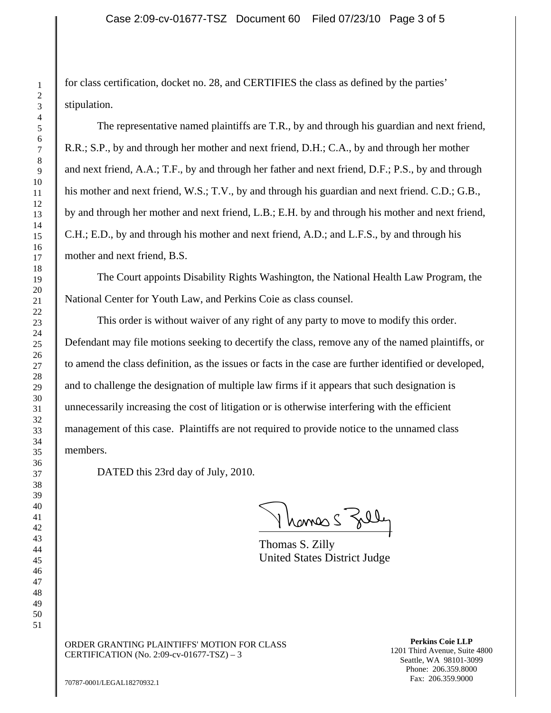for class certification, docket no. 28, and CERTIFIES the class as defined by the parties' stipulation.

The representative named plaintiffs are T.R., by and through his guardian and next friend, R.R.; S.P., by and through her mother and next friend, D.H.; C.A., by and through her mother and next friend, A.A.; T.F., by and through her father and next friend, D.F.; P.S., by and through his mother and next friend, W.S.; T.V., by and through his guardian and next friend. C.D.; G.B., by and through her mother and next friend, L.B.; E.H. by and through his mother and next friend, C.H.; E.D., by and through his mother and next friend, A.D.; and L.F.S., by and through his mother and next friend, B.S.

The Court appoints Disability Rights Washington, the National Health Law Program, the National Center for Youth Law, and Perkins Coie as class counsel.

This order is without waiver of any right of any party to move to modify this order. Defendant may file motions seeking to decertify the class, remove any of the named plaintiffs, or to amend the class definition, as the issues or facts in the case are further identified or developed, and to challenge the designation of multiple law firms if it appears that such designation is unnecessarily increasing the cost of litigation or is otherwise interfering with the efficient management of this case. Plaintiffs are not required to provide notice to the unnamed class members.

DATED this 23rd day of July, 2010.

1 hames Sall

Thomas S. Zilly United States District Judge

ORDER GRANTING PLAINTIFFS' MOTION FOR CLASS CERTIFICATION (No. 2:09-cv-01677-TSZ) – 3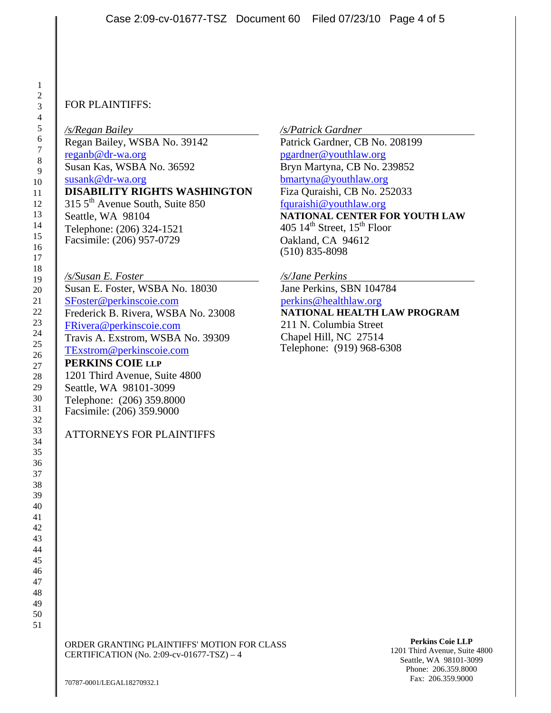## FOR PLAINTIFFS:

*/s/Regan Bailey*  Regan Bailey, WSBA No. 39142 reganb@dr-wa.org Susan Kas, WSBA No. 36592 susank@dr-wa.org **DISABILITY RIGHTS WASHINGTON**  315 5<sup>th</sup> Avenue South, Suite 850 Seattle, WA 98104 Telephone: (206) 324-1521 Facsimile: (206) 957-0729

*/s/Susan E. Foster*  Susan E. Foster, WSBA No. 18030 SFoster@perkinscoie.com Frederick B. Rivera, WSBA No. 23008 FRivera@perkinscoie.com Travis A. Exstrom, WSBA No. 39309 TExstrom@perkinscoie.com **PERKINS COIE LLP** 1201 Third Avenue, Suite 4800 Seattle, WA 98101-3099 Telephone: (206) 359.8000 Facsimile: (206) 359.9000

ATTORNEYS FOR PLAINTIFFS

*/s/Patrick Gardner* 

Patrick Gardner, CB No. 208199 pgardner@youthlaw.org Bryn Martyna, CB No. 239852 bmartyna@youthlaw.org Fiza Quraishi, CB No. 252033 fquraishi@youthlaw.org **NATIONAL CENTER FOR YOUTH LAW**  405  $14^{\text{th}}$  Street,  $15^{\text{th}}$  Floor Oakland, CA 94612 (510) 835-8098

*/s/Jane Perkins* 

Jane Perkins, SBN 104784 perkins@healthlaw.org **NATIONAL HEALTH LAW PROGRAM**  211 N. Columbia Street Chapel Hill, NC 27514 Telephone: (919) 968-6308

ORDER GRANTING PLAINTIFFS' MOTION FOR CLASS CERTIFICATION (No. 2:09-cv-01677-TSZ) – 4